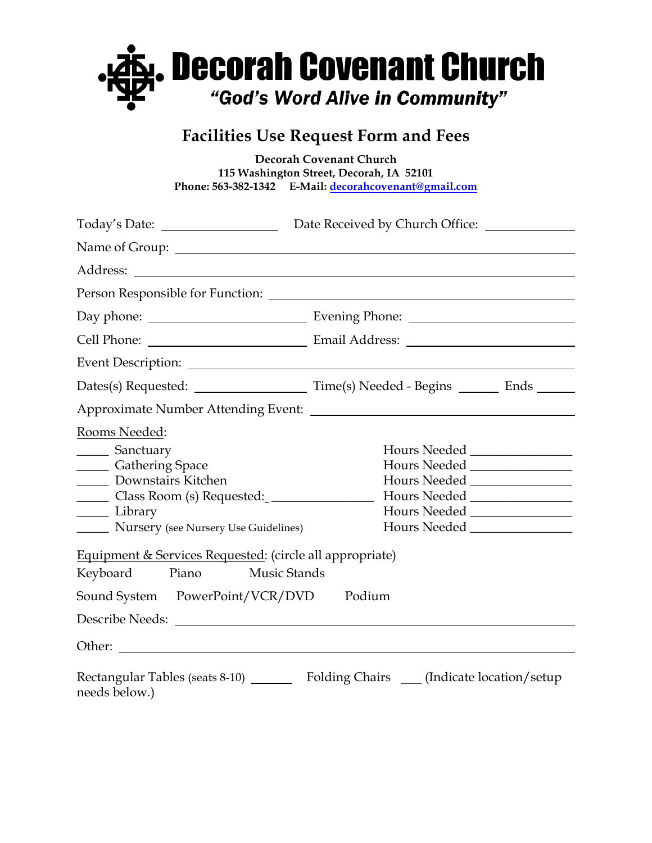

## **Facilities Use Request Form and Fees**

**Decorah Covenant Church 115 Washington Street, Decorah, IA 52101 Phone: 563-382-1342 E-Mail: decorahcovenant@gmail.com**

| Rooms Needed:<br>______ Sanctuary<br><b>Cathering Space</b><br><b>Downstairs Kitchen</b><br>Library<br><b>Nursery</b> (see Nursery Use Guidelines) | Hours Needed _________________<br>Hours Needed ________________<br>Hours Needed ________________<br>Hours Needed _______________<br>Hours Needed |
|----------------------------------------------------------------------------------------------------------------------------------------------------|--------------------------------------------------------------------------------------------------------------------------------------------------|
| Equipment & Services Requested: (circle all appropriate)<br>Keyboard Piano Music Stands<br>Sound System PowerPoint/VCR/DVD Podium                  |                                                                                                                                                  |
|                                                                                                                                                    |                                                                                                                                                  |
| needs below.)                                                                                                                                      | Rectangular Tables (seats 8-10) ________ Folding Chairs ____ (Indicate location/setup                                                            |